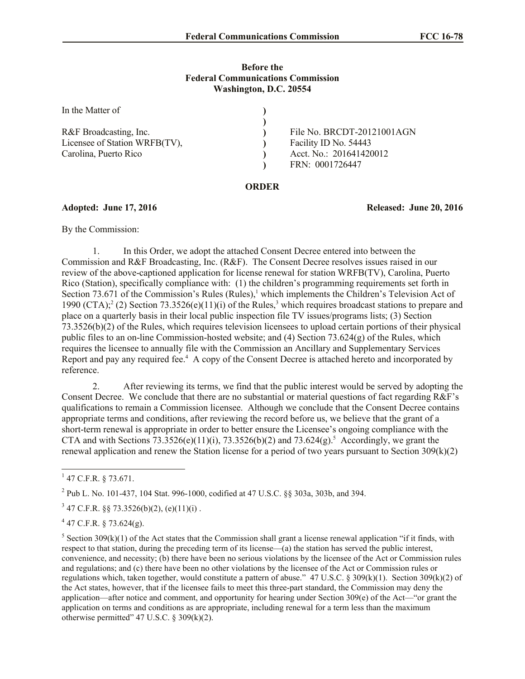### **Before the Federal Communications Commission Washington, D.C. 20554**

| In the Matter of              |                            |
|-------------------------------|----------------------------|
| R&F Broadcasting, Inc.        | File No. BRCDT-20121001AGN |
|                               |                            |
| Licensee of Station WRFB(TV), | Facility ID No. 54443      |
| Carolina, Puerto Rico         | Acct. No.: 201641420012    |
|                               | FRN: 0001726447            |

### **ORDER**

### **Adopted: June 17, 2016 Released: June 20, 2016**

By the Commission:

1. In this Order, we adopt the attached Consent Decree entered into between the Commission and R&F Broadcasting, Inc. (R&F). The Consent Decree resolves issues raised in our review of the above-captioned application for license renewal for station WRFB(TV), Carolina, Puerto Rico (Station), specifically compliance with: (1) the children's programming requirements set forth in Section 73.671 of the Commission's Rules (Rules),<sup>1</sup> which implements the Children's Television Act of 1990 (CTA);  $^2$  (2) Section 73.3526(e)(11)(i) of the Rules,<sup>3</sup> which requires broadcast stations to prepare and place on a quarterly basis in their local public inspection file TV issues/programs lists; (3) Section 73.3526(b)(2) of the Rules, which requires television licensees to upload certain portions of their physical public files to an on-line Commission-hosted website; and (4) Section 73.624(g) of the Rules, which requires the licensee to annually file with the Commission an Ancillary and Supplementary Services Report and pay any required fee.<sup>4</sup> A copy of the Consent Decree is attached hereto and incorporated by reference.

2. After reviewing its terms, we find that the public interest would be served by adopting the Consent Decree. We conclude that there are no substantial or material questions of fact regarding R&F's qualifications to remain a Commission licensee. Although we conclude that the Consent Decree contains appropriate terms and conditions, after reviewing the record before us, we believe that the grant of a short-term renewal is appropriate in order to better ensure the Licensee's ongoing compliance with the CTA and with Sections  $73.3526(e)(11)(i)$ ,  $73.3526(b)(2)$  and  $73.624(g)$ .<sup>5</sup> Accordingly, we grant the renewal application and renew the Station license for a period of two years pursuant to Section  $309(k)(2)$ 

<sup>2</sup> Pub L. No. 101-437, 104 Stat. 996-1000, codified at 47 U.S.C. §§ 303a, 303b, and 394.

 $3\,47$  C.F.R. §§ 73.3526(b)(2), (e)(11)(i).

 $4$  47 C.F.R. § 73.624(g).

<sup>5</sup> Section 309(k)(1) of the Act states that the Commission shall grant a license renewal application "if it finds, with respect to that station, during the preceding term of its license—(a) the station has served the public interest, convenience, and necessity; (b) there have been no serious violations by the licensee of the Act or Commission rules and regulations; and (c) there have been no other violations by the licensee of the Act or Commission rules or regulations which, taken together, would constitute a pattern of abuse." 47 U.S.C. § 309(k)(1). Section 309(k)(2) of the Act states, however, that if the licensee fails to meet this three-part standard, the Commission may deny the application—after notice and comment, and opportunity for hearing under Section 309(e) of the Act—"or grant the application on terms and conditions as are appropriate, including renewal for a term less than the maximum otherwise permitted"  $47$  U.S.C. § 309(k)(2).

<sup>&</sup>lt;sup>1</sup> 47 C.F.R. § 73.671.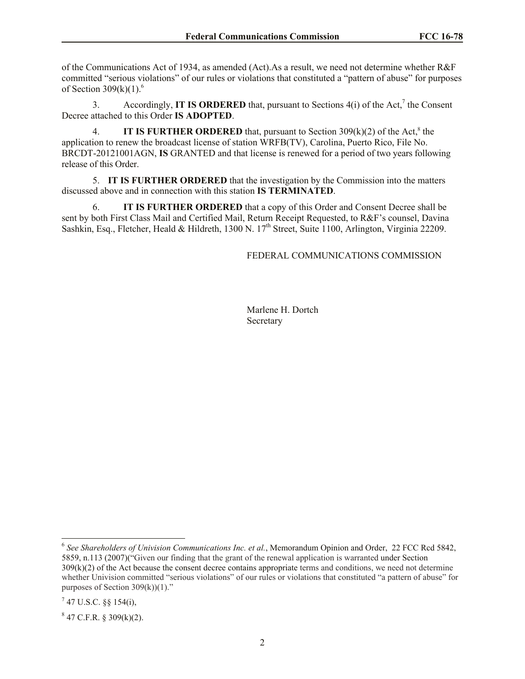of the Communications Act of 1934, as amended (Act).As a result, we need not determine whether R&F committed "serious violations" of our rules or violations that constituted a "pattern of abuse" for purposes of Section  $309(k)(1)$ .<sup>6</sup>

3. Accordingly, **IT IS ORDERED** that, pursuant to Sections  $4(i)$  of the Act,<sup>7</sup> the Consent Decree attached to this Order **IS ADOPTED**.

4. **IT IS FURTHER ORDERED** that, pursuant to Section 309(k)(2) of the Act, 8 the application to renew the broadcast license of station WRFB(TV), Carolina, Puerto Rico, File No. BRCDT-20121001AGN, **IS** GRANTED and that license is renewed for a period of two years following release of this Order.

5. **IT IS FURTHER ORDERED** that the investigation by the Commission into the matters discussed above and in connection with this station **IS TERMINATED**.

6. **IT IS FURTHER ORDERED** that a copy of this Order and Consent Decree shall be sent by both First Class Mail and Certified Mail, Return Receipt Requested, to R&F's counsel, Davina Sashkin, Esq., Fletcher, Heald & Hildreth, 1300 N. 17<sup>th</sup> Street, Suite 1100, Arlington, Virginia 22209.

FEDERAL COMMUNICATIONS COMMISSION

Marlene H. Dortch Secretary

 6 *See Shareholders of Univision Communications Inc. et al.*, Memorandum Opinion and Order, 22 FCC Rcd 5842, 5859, n.113 (2007)("Given our finding that the grant of the renewal application is warranted under Section 309(k)(2) of the Act because the consent decree contains appropriate terms and conditions, we need not determine whether Univision committed "serious violations" of our rules or violations that constituted "a pattern of abuse" for purposes of Section  $309(k)(1)$ ."

 $^7$  47 U.S.C. §§ 154(i),

 $847$  C.F.R. § 309(k)(2).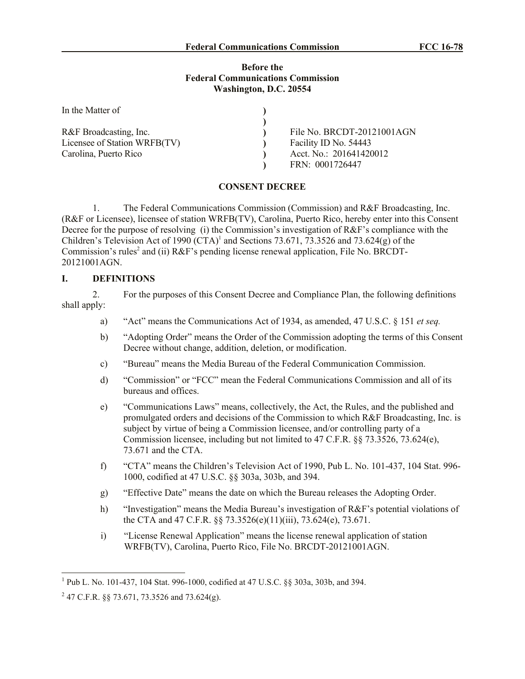### **Before the Federal Communications Commission Washington, D.C. 20554**

| In the Matter of             |                            |
|------------------------------|----------------------------|
|                              |                            |
| R&F Broadcasting, Inc.       | File No. BRCDT-20121001AGN |
| Licensee of Station WRFB(TV) | Facility ID No. 54443      |
| Carolina, Puerto Rico        | Acct. No.: 201641420012    |
|                              | FRN: 0001726447            |

## **CONSENT DECREE**

1. The Federal Communications Commission (Commission) and R&F Broadcasting, Inc. (R&F or Licensee), licensee of station WRFB(TV), Carolina, Puerto Rico, hereby enter into this Consent Decree for the purpose of resolving (i) the Commission's investigation of R&F's compliance with the Children's Television Act of 1990  $(CTA)^1$  and Sections 73.671, 73.3526 and 73.624(g) of the Commission's rules<sup>2</sup> and (ii) R&F's pending license renewal application, File No. BRCDT-20121001AGN.

## **I. DEFINITIONS**

2. For the purposes of this Consent Decree and Compliance Plan, the following definitions shall apply:

- a) "Act" means the Communications Act of 1934, as amended, 47 U.S.C. § 151 *et seq.*
- b) "Adopting Order" means the Order of the Commission adopting the terms of this Consent Decree without change, addition, deletion, or modification.
- c) "Bureau" means the Media Bureau of the Federal Communication Commission.
- d) "Commission" or "FCC" mean the Federal Communications Commission and all of its bureaus and offices.
- e) "Communications Laws" means, collectively, the Act, the Rules, and the published and promulgated orders and decisions of the Commission to which R&F Broadcasting, Inc. is subject by virtue of being a Commission licensee, and/or controlling party of a Commission licensee, including but not limited to 47 C.F.R. §§ 73.3526, 73.624(e), 73.671 and the CTA.
- f) "CTA" means the Children's Television Act of 1990, Pub L. No. 101-437, 104 Stat. 996- 1000, codified at 47 U.S.C. §§ 303a, 303b, and 394.
- g) "Effective Date" means the date on which the Bureau releases the Adopting Order.
- h) "Investigation" means the Media Bureau's investigation of R&F's potential violations of the CTA and 47 C.F.R. §§ 73.3526(e)(11)(iii), 73.624(e), 73.671.
- i) "License Renewal Application" means the license renewal application of station WRFB(TV), Carolina, Puerto Rico, File No. BRCDT-20121001AGN.

 1 Pub L. No. 101-437, 104 Stat. 996-1000, codified at 47 U.S.C. §§ 303a, 303b, and 394.

<sup>&</sup>lt;sup>2</sup> 47 C.F.R. §§ 73.671, 73.3526 and 73.624(g).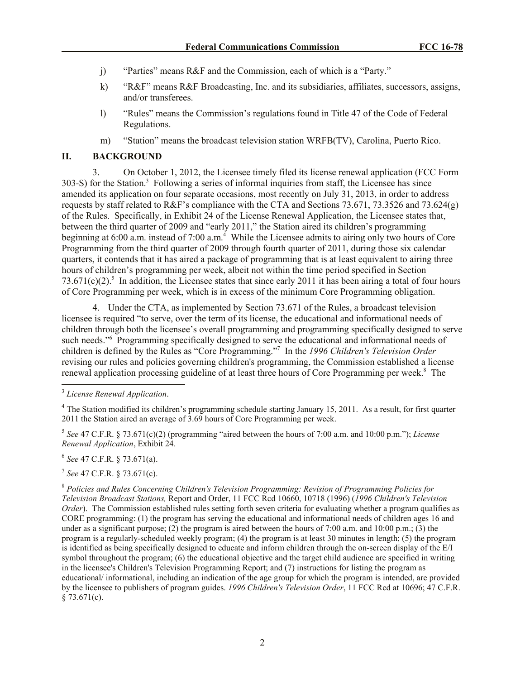- j) "Parties" means R&F and the Commission, each of which is a "Party."
- k) "R&F" means R&F Broadcasting, Inc. and its subsidiaries, affiliates, successors, assigns, and/or transferees.
- l) "Rules" means the Commission's regulations found in Title 47 of the Code of Federal Regulations.
- m) "Station" means the broadcast television station WRFB(TV), Carolina, Puerto Rico.

### **II. BACKGROUND**

3. On October 1, 2012, the Licensee timely filed its license renewal application (FCC Form 303-S) for the Station.<sup>3</sup> Following a series of informal inquiries from staff, the Licensee has since amended its application on four separate occasions, most recently on July 31, 2013, in order to address requests by staff related to R&F's compliance with the CTA and Sections 73.671, 73.3526 and 73.624(g) of the Rules. Specifically, in Exhibit 24 of the License Renewal Application, the Licensee states that, between the third quarter of 2009 and "early 2011," the Station aired its children's programming beginning at 6:00 a.m. instead of 7:00 a.m.<sup>4</sup> While the Licensee admits to airing only two hours of Core Programming from the third quarter of 2009 through fourth quarter of 2011, during those six calendar quarters, it contends that it has aired a package of programming that is at least equivalent to airing three hours of children's programming per week, albeit not within the time period specified in Section 73.671 $(c)(2)$ <sup>5</sup> In addition, the Licensee states that since early 2011 it has been airing a total of four hours of Core Programming per week, which is in excess of the minimum Core Programming obligation.

4. Under the CTA, as implemented by Section 73.671 of the Rules, a broadcast television licensee is required "to serve, over the term of its license, the educational and informational needs of children through both the licensee's overall programming and programming specifically designed to serve such needs."<sup>6</sup> Programming specifically designed to serve the educational and informational needs of children is defined by the Rules as "Core Programming."<sup>7</sup> In the *1996 Children's Television Order* revising our rules and policies governing children's programming, the Commission established a license renewal application processing guideline of at least three hours of Core Programming per week.<sup>8</sup> The

5 *See* 47 C.F.R. § 73.671(c)(2) (programming "aired between the hours of 7:00 a.m. and 10:00 p.m."); *License Renewal Application*, Exhibit 24.

6 *See* 47 C.F.R. § 73.671(a).

7 *See* 47 C.F.R. § 73.671(c).

<sup>8</sup> *Policies and Rules Concerning Children's Television Programming: Revision of Programming Policies for Television Broadcast Stations,* Report and Order, 11 FCC Rcd 10660, 10718 (1996) (*1996 Children's Television Order*). The Commission established rules setting forth seven criteria for evaluating whether a program qualifies as CORE programming: (1) the program has serving the educational and informational needs of children ages 16 and under as a significant purpose; (2) the program is aired between the hours of 7:00 a.m. and 10:00 p.m.; (3) the program is a regularly-scheduled weekly program; (4) the program is at least 30 minutes in length; (5) the program is identified as being specifically designed to educate and inform children through the on-screen display of the E/I symbol throughout the program; (6) the educational objective and the target child audience are specified in writing in the licensee's Children's Television Programming Report; and (7) instructions for listing the program as educational/ informational, including an indication of the age group for which the program is intended, are provided by the licensee to publishers of program guides. *1996 Children's Television Order*, 11 FCC Rcd at 10696; 47 C.F.R.  $$73.671(c).$ 

 3 *License Renewal Application*.

<sup>&</sup>lt;sup>4</sup> The Station modified its children's programming schedule starting January 15, 2011. As a result, for first quarter 2011 the Station aired an average of 3.69 hours of Core Programming per week.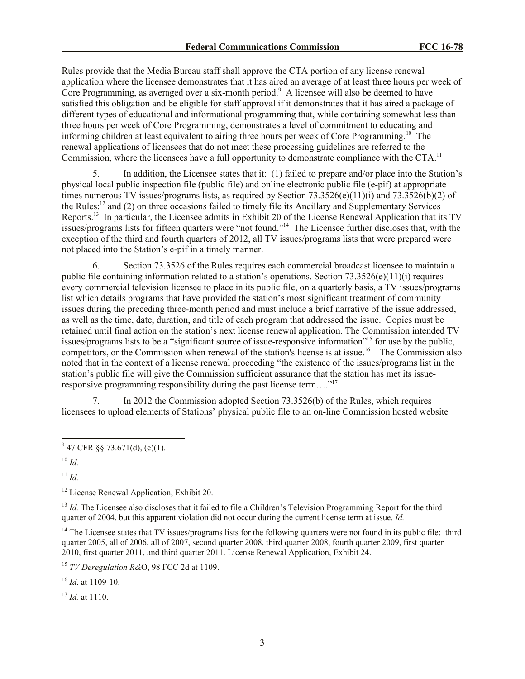Rules provide that the Media Bureau staff shall approve the CTA portion of any license renewal application where the licensee demonstrates that it has aired an average of at least three hours per week of Core Programming, as averaged over a six-month period.<sup>9</sup> A licensee will also be deemed to have satisfied this obligation and be eligible for staff approval if it demonstrates that it has aired a package of different types of educational and informational programming that, while containing somewhat less than three hours per week of Core Programming, demonstrates a level of commitment to educating and informing children at least equivalent to airing three hours per week of Core Programming.<sup>10</sup> The renewal applications of licensees that do not meet these processing guidelines are referred to the Commission, where the licensees have a full opportunity to demonstrate compliance with the CTA.<sup>11</sup>

5. In addition, the Licensee states that it: (1) failed to prepare and/or place into the Station's physical local public inspection file (public file) and online electronic public file (e-pif) at appropriate times numerous TV issues/programs lists, as required by Section 73.3526(e)(11)(i) and 73.3526(b)(2) of the Rules;<sup>12</sup> and (2) on three occasions failed to timely file its Ancillary and Supplementary Services Reports.<sup>13</sup> In particular, the Licensee admits in Exhibit 20 of the License Renewal Application that its TV issues/programs lists for fifteen quarters were "not found."<sup>14</sup> The Licensee further discloses that, with the exception of the third and fourth quarters of 2012, all TV issues/programs lists that were prepared were not placed into the Station's e-pif in a timely manner.

6. Section 73.3526 of the Rules requires each commercial broadcast licensee to maintain a public file containing information related to a station's operations. Section  $73.3526(e)(11)(i)$  requires every commercial television licensee to place in its public file, on a quarterly basis, a TV issues/programs list which details programs that have provided the station's most significant treatment of community issues during the preceding three-month period and must include a brief narrative of the issue addressed, as well as the time, date, duration, and title of each program that addressed the issue. Copies must be retained until final action on the station's next license renewal application. The Commission intended TV issues/programs lists to be a "significant source of issue-responsive information"<sup>15</sup> for use by the public, competitors, or the Commission when renewal of the station's license is at issue.<sup>16</sup> The Commission also noted that in the context of a license renewal proceeding "the existence of the issues/programs list in the station's public file will give the Commission sufficient assurance that the station has met its issueresponsive programming responsibility during the past license term...."<sup>17</sup>

7. In 2012 the Commission adopted Section 73.3526(b) of the Rules, which requires licensees to upload elements of Stations' physical public file to an on-line Commission hosted website

<sup>10</sup> *Id.*

 $\overline{a}$ 

 $11$  *Id.* 

<sup>12</sup> License Renewal Application, Exhibit 20.

<sup>13</sup> *Id.* The Licensee also discloses that it failed to file a Children's Television Programming Report for the third quarter of 2004, but this apparent violation did not occur during the current license term at issue. *Id.* 

<sup>14</sup> The Licensee states that TV issues/programs lists for the following quarters were not found in its public file: third quarter 2005, all of 2006, all of 2007, second quarter 2008, third quarter 2008, fourth quarter 2009, first quarter 2010, first quarter 2011, and third quarter 2011. License Renewal Application, Exhibit 24.

<sup>15</sup> *TV Deregulation R&*O, 98 FCC 2d at 1109.

<sup>16</sup> *Id*. at 1109-10.

<sup>17</sup> *Id.* at 1110.

 $9^9$  47 CFR §§ 73.671(d), (e)(1).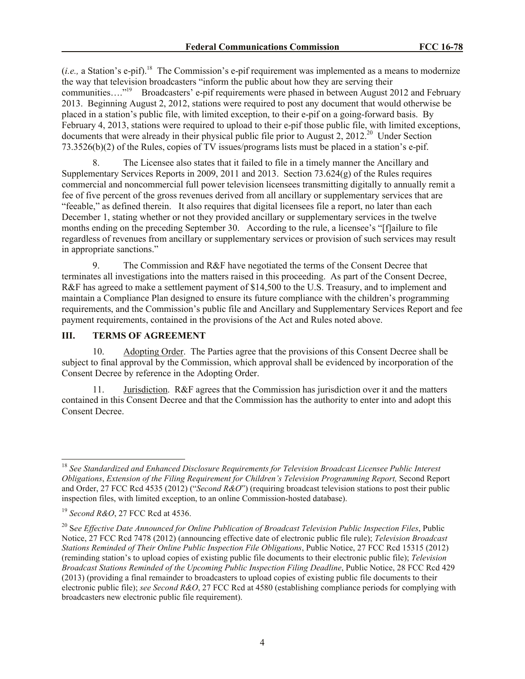(*i.e.*, a Station's e-pif).<sup>18</sup> The Commission's e-pif requirement was implemented as a means to modernize the way that television broadcasters "inform the public about how they are serving their communities...."<sup>19</sup> Broadcasters' e-pif requirements were phased in between August 2012 and February 2013. Beginning August 2, 2012, stations were required to post any document that would otherwise be placed in a station's public file, with limited exception, to their e-pif on a going-forward basis. By February 4, 2013, stations were required to upload to their e-pif those public file, with limited exceptions, documents that were already in their physical public file prior to August 2, 2012.<sup>20</sup> Under Section 73.3526(b)(2) of the Rules, copies of TV issues/programs lists must be placed in a station's e-pif.

8. The Licensee also states that it failed to file in a timely manner the Ancillary and Supplementary Services Reports in 2009, 2011 and 2013. Section 73.624(g) of the Rules requires commercial and noncommercial full power television licensees transmitting digitally to annually remit a fee of five percent of the gross revenues derived from all ancillary or supplementary services that are "feeable," as defined therein. It also requires that digital licensees file a report, no later than each December 1, stating whether or not they provided ancillary or supplementary services in the twelve months ending on the preceding September 30. According to the rule, a licensee's "[f]ailure to file regardless of revenues from ancillary or supplementary services or provision of such services may result in appropriate sanctions."

9. The Commission and R&F have negotiated the terms of the Consent Decree that terminates all investigations into the matters raised in this proceeding. As part of the Consent Decree, R&F has agreed to make a settlement payment of \$14,500 to the U.S. Treasury, and to implement and maintain a Compliance Plan designed to ensure its future compliance with the children's programming requirements, and the Commission's public file and Ancillary and Supplementary Services Report and fee payment requirements, contained in the provisions of the Act and Rules noted above.

## **III. TERMS OF AGREEMENT**

10. Adopting Order. The Parties agree that the provisions of this Consent Decree shall be subject to final approval by the Commission, which approval shall be evidenced by incorporation of the Consent Decree by reference in the Adopting Order.

11. Jurisdiction. R&F agrees that the Commission has jurisdiction over it and the matters contained in this Consent Decree and that the Commission has the authority to enter into and adopt this Consent Decree.

 $\overline{\phantom{a}}$ <sup>18</sup> *See Standardized and Enhanced Disclosure Requirements for Television Broadcast Licensee Public Interest Obligations*, *Extension of the Filing Requirement for Children's Television Programming Report,* Second Report and Order, 27 FCC Rcd 4535 (2012) ("*Second R&O*") (requiring broadcast television stations to post their public inspection files, with limited exception, to an online Commission-hosted database).

<sup>19</sup> *Second R&O*, 27 FCC Rcd at 4536.

<sup>20</sup> S*ee Effective Date Announced for Online Publication of Broadcast Television Public Inspection Files*, Public Notice, 27 FCC Rcd 7478 (2012) (announcing effective date of electronic public file rule); *Television Broadcast Stations Reminded of Their Online Public Inspection File Obligations*, Public Notice, 27 FCC Rcd 15315 (2012) (reminding station's to upload copies of existing public file documents to their electronic public file); *Television Broadcast Stations Reminded of the Upcoming Public Inspection Filing Deadline*, Public Notice, 28 FCC Rcd 429 (2013) (providing a final remainder to broadcasters to upload copies of existing public file documents to their electronic public file); *see Second R&O*, 27 FCC Rcd at 4580 (establishing compliance periods for complying with broadcasters new electronic public file requirement).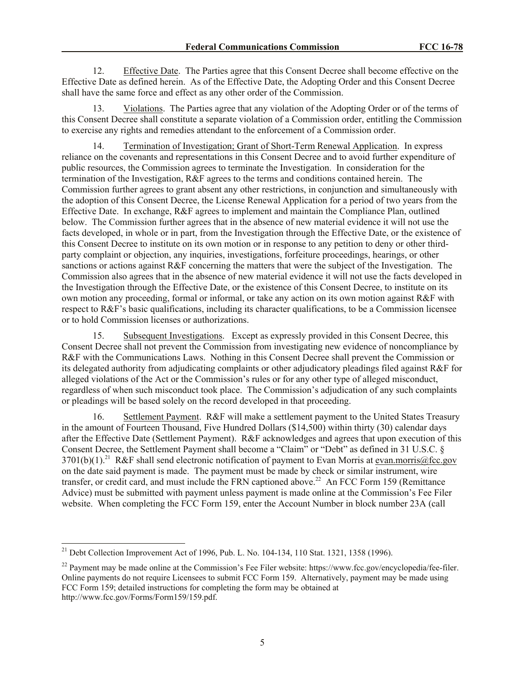12. Effective Date. The Parties agree that this Consent Decree shall become effective on the Effective Date as defined herein. As of the Effective Date, the Adopting Order and this Consent Decree shall have the same force and effect as any other order of the Commission.

13. Violations. The Parties agree that any violation of the Adopting Order or of the terms of this Consent Decree shall constitute a separate violation of a Commission order, entitling the Commission to exercise any rights and remedies attendant to the enforcement of a Commission order.

14. Termination of Investigation; Grant of Short-Term Renewal Application. In express reliance on the covenants and representations in this Consent Decree and to avoid further expenditure of public resources, the Commission agrees to terminate the Investigation. In consideration for the termination of the Investigation, R&F agrees to the terms and conditions contained herein. The Commission further agrees to grant absent any other restrictions, in conjunction and simultaneously with the adoption of this Consent Decree, the License Renewal Application for a period of two years from the Effective Date. In exchange, R&F agrees to implement and maintain the Compliance Plan, outlined below. The Commission further agrees that in the absence of new material evidence it will not use the facts developed, in whole or in part, from the Investigation through the Effective Date, or the existence of this Consent Decree to institute on its own motion or in response to any petition to deny or other thirdparty complaint or objection, any inquiries, investigations, forfeiture proceedings, hearings, or other sanctions or actions against R&F concerning the matters that were the subject of the Investigation. The Commission also agrees that in the absence of new material evidence it will not use the facts developed in the Investigation through the Effective Date, or the existence of this Consent Decree, to institute on its own motion any proceeding, formal or informal, or take any action on its own motion against R&F with respect to R&F's basic qualifications, including its character qualifications, to be a Commission licensee or to hold Commission licenses or authorizations.

15. Subsequent Investigations. Except as expressly provided in this Consent Decree, this Consent Decree shall not prevent the Commission from investigating new evidence of noncompliance by R&F with the Communications Laws. Nothing in this Consent Decree shall prevent the Commission or its delegated authority from adjudicating complaints or other adjudicatory pleadings filed against R&F for alleged violations of the Act or the Commission's rules or for any other type of alleged misconduct, regardless of when such misconduct took place. The Commission's adjudication of any such complaints or pleadings will be based solely on the record developed in that proceeding.

16. Settlement Payment. R&F will make a settlement payment to the United States Treasury in the amount of Fourteen Thousand, Five Hundred Dollars (\$14,500) within thirty (30) calendar days after the Effective Date (Settlement Payment). R&F acknowledges and agrees that upon execution of this Consent Decree, the Settlement Payment shall become a "Claim" or "Debt" as defined in 31 U.S.C. §  $3701(b)(1)$ .<sup>21</sup> R&F shall send electronic notification of payment to Evan Morris at evan.morris@fcc.gov on the date said payment is made. The payment must be made by check or similar instrument, wire transfer, or credit card, and must include the FRN captioned above.<sup>22</sup> An FCC Form 159 (Remittance Advice) must be submitted with payment unless payment is made online at the Commission's Fee Filer website. When completing the FCC Form 159, enter the Account Number in block number 23A (call

 $\overline{a}$ <sup>21</sup> Debt Collection Improvement Act of 1996, Pub. L. No. 104-134, 110 Stat. 1321, 1358 (1996).

<sup>&</sup>lt;sup>22</sup> Payment may be made online at the Commission's Fee Filer website: https://www.fcc.gov/encyclopedia/fee-filer. Online payments do not require Licensees to submit FCC Form 159. Alternatively, payment may be made using FCC Form 159; detailed instructions for completing the form may be obtained at http://www.fcc.gov/Forms/Form159/159.pdf.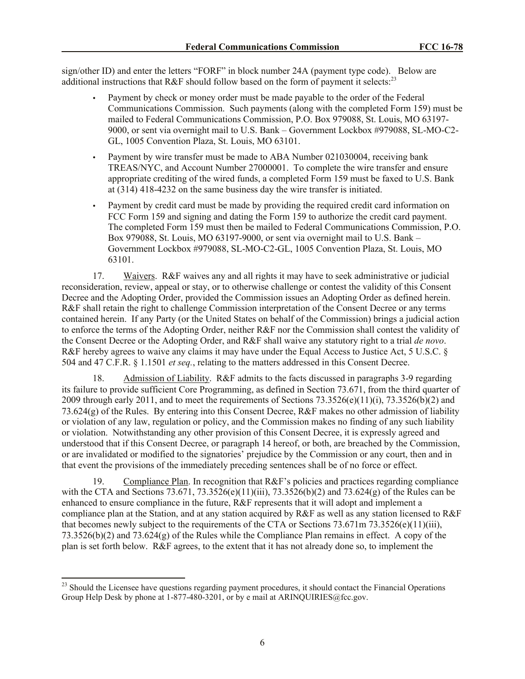sign/other ID) and enter the letters "FORF" in block number 24A (payment type code). Below are additional instructions that R&F should follow based on the form of payment it selects:<sup>23</sup>

- Payment by check or money order must be made payable to the order of the Federal Communications Commission. Such payments (along with the completed Form 159) must be mailed to Federal Communications Commission, P.O. Box 979088, St. Louis, MO 63197- 9000, or sent via overnight mail to U.S. Bank – Government Lockbox #979088, SL-MO-C2- GL, 1005 Convention Plaza, St. Louis, MO 63101.
- Payment by wire transfer must be made to ABA Number 021030004, receiving bank TREAS/NYC, and Account Number 27000001. To complete the wire transfer and ensure appropriate crediting of the wired funds, a completed Form 159 must be faxed to U.S. Bank at (314) 418-4232 on the same business day the wire transfer is initiated.
- Payment by credit card must be made by providing the required credit card information on FCC Form 159 and signing and dating the Form 159 to authorize the credit card payment. The completed Form 159 must then be mailed to Federal Communications Commission, P.O. Box 979088, St. Louis, MO 63197-9000, or sent via overnight mail to U.S. Bank – Government Lockbox #979088, SL-MO-C2-GL, 1005 Convention Plaza, St. Louis, MO 63101.

17. Waivers. R&F waives any and all rights it may have to seek administrative or judicial reconsideration, review, appeal or stay, or to otherwise challenge or contest the validity of this Consent Decree and the Adopting Order, provided the Commission issues an Adopting Order as defined herein. R&F shall retain the right to challenge Commission interpretation of the Consent Decree or any terms contained herein. If any Party (or the United States on behalf of the Commission) brings a judicial action to enforce the terms of the Adopting Order, neither R&F nor the Commission shall contest the validity of the Consent Decree or the Adopting Order, and R&F shall waive any statutory right to a trial *de novo*. R&F hereby agrees to waive any claims it may have under the Equal Access to Justice Act, 5 U.S.C. § 504 and 47 C.F.R. § 1.1501 *et seq.*, relating to the matters addressed in this Consent Decree.

18. Admission of Liability. R&F admits to the facts discussed in paragraphs 3-9 regarding its failure to provide sufficient Core Programming, as defined in Section 73.671, from the third quarter of 2009 through early 2011, and to meet the requirements of Sections  $73.3526(e)(11)(i)$ ,  $73.3526(b)(2)$  and 73.624(g) of the Rules. By entering into this Consent Decree,  $R\&F$  makes no other admission of liability or violation of any law, regulation or policy, and the Commission makes no finding of any such liability or violation. Notwithstanding any other provision of this Consent Decree, it is expressly agreed and understood that if this Consent Decree, or paragraph 14 hereof, or both, are breached by the Commission, or are invalidated or modified to the signatories' prejudice by the Commission or any court, then and in that event the provisions of the immediately preceding sentences shall be of no force or effect.

19. Compliance Plan. In recognition that R&F's policies and practices regarding compliance with the CTA and Sections 73.671, 73.3526(e)(11)(iii), 73.3526(b)(2) and 73.624(g) of the Rules can be enhanced to ensure compliance in the future, R&F represents that it will adopt and implement a compliance plan at the Station, and at any station acquired by R&F as well as any station licensed to R&F that becomes newly subject to the requirements of the CTA or Sections 73.671m 73.3526(e)(11)(iii),  $73.3526(b)(2)$  and  $73.624(g)$  of the Rules while the Compliance Plan remains in effect. A copy of the plan is set forth below. R&F agrees, to the extent that it has not already done so, to implement the

 $\overline{a}$ 

<sup>&</sup>lt;sup>23</sup> Should the Licensee have questions regarding payment procedures, it should contact the Financial Operations Group Help Desk by phone at 1-877-480-3201, or by e mail at ARINOUIRIES@fcc.gov.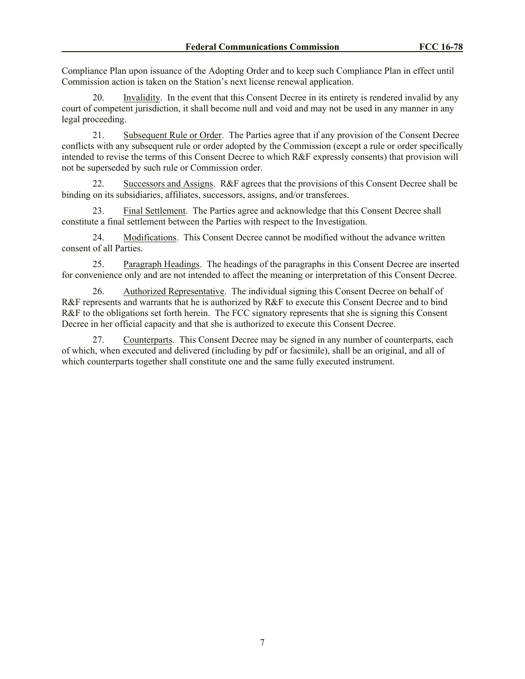Compliance Plan upon issuance of the Adopting Order and to keep such Compliance Plan in effect until Commission action is taken on the Station's next license renewal application.

20. Invalidity. In the event that this Consent Decree in its entirety is rendered invalid by any court of competent jurisdiction, it shall become null and void and may not be used in any manner in any legal proceeding.

21. Subsequent Rule or Order. The Parties agree that if any provision of the Consent Decree conflicts with any subsequent rule or order adopted by the Commission (except a rule or order specifically intended to revise the terms of this Consent Decree to which R&F expressly consents) that provision will not be superseded by such rule or Commission order.

22. Successors and Assigns. R&F agrees that the provisions of this Consent Decree shall be binding on its subsidiaries, affiliates, successors, assigns, and/or transferees.

23. Final Settlement. The Parties agree and acknowledge that this Consent Decree shall constitute a final settlement between the Parties with respect to the Investigation.

24. Modifications. This Consent Decree cannot be modified without the advance written consent of all Parties.

25. Paragraph Headings. The headings of the paragraphs in this Consent Decree are inserted for convenience only and are not intended to affect the meaning or interpretation of this Consent Decree.

26. Authorized Representative. The individual signing this Consent Decree on behalf of R&F represents and warrants that he is authorized by R&F to execute this Consent Decree and to bind R&F to the obligations set forth herein. The FCC signatory represents that she is signing this Consent Decree in her official capacity and that she is authorized to execute this Consent Decree.

27. Counterparts. This Consent Decree may be signed in any number of counterparts, each of which, when executed and delivered (including by pdf or facsimile), shall be an original, and all of which counterparts together shall constitute one and the same fully executed instrument.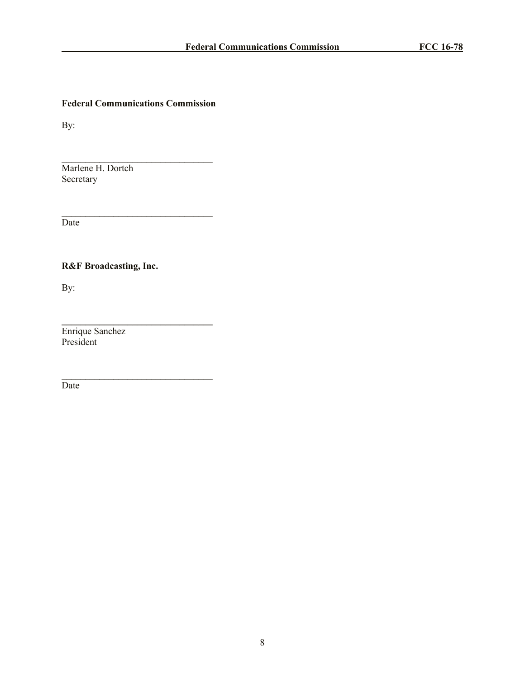# **Federal Communications Commission**

 $\mathcal{L}_\text{max}$ 

 $\mathcal{L}_\text{max}$  and  $\mathcal{L}_\text{max}$  and  $\mathcal{L}_\text{max}$ 

**\_\_\_\_\_\_\_\_\_\_\_\_\_\_\_\_\_\_\_\_\_\_\_\_\_\_\_\_\_\_\_\_**

 $\mathcal{L}_\text{max}$  and  $\mathcal{L}_\text{max}$  and  $\mathcal{L}_\text{max}$ 

By:

Marlene H. Dortch Secretary

Date

**R&F Broadcasting, Inc.**

By:

Enrique Sanchez President

Date